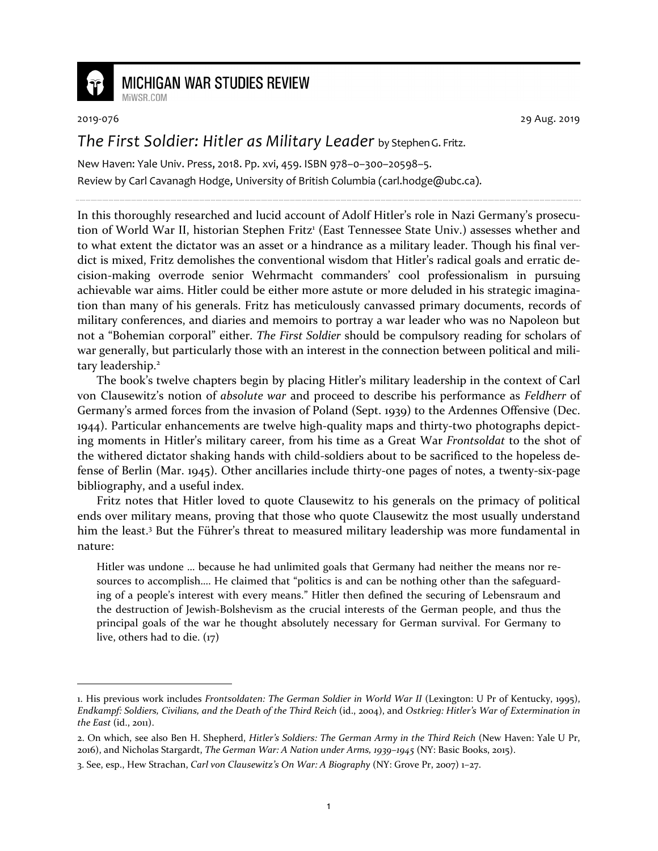

## **MICHIGAN WAR STUDIES REVIEW**

MiWSR COM

2019-076 29 Aug. 2019

## *The First Soldier: Hitler as Military Leader* by Stephen G. Fritz.

New Haven: Yale Univ. Press, 2018. Pp. xvi, 459. ISBN 978–0–300–20598–5. Review by Carl Cavanagh Hodge, University of British Columbia (carl.hodge@ubc.ca).

In this thoroughly researched and lucid account of Adolf Hitler's role in Nazi Germany's prosecution of World War II, historian Stephen Fritz<sup>1</sup> (East Tennessee State Univ.) assesses whether and to what extent the dictator was an asset or a hindrance as a military leader. Though his final verdict is mixed, Fritz demolishes the conventional wisdom that Hitler's radical goals and erratic decision-making overrode senior Wehrmacht commanders' cool professionalism in pursuing achievable war aims. Hitler could be either more astute or more deluded in his strategic imagination than many of his generals. Fritz has meticulously canvassed primary documents, records of military conferences, and diaries and memoirs to portray a war leader who was no Napoleon but not a "Bohemian corporal" either. *The First Soldier* should be compulsory reading for scholars of war generally, but particularly those with an interest in the connection between political and military leadership.<sup>2</sup>

The book's twelve chapters begin by placing Hitler's military leadership in the context of Carl von Clausewitz's notion of *absolute war* and proceed to describe his performance as *Feldherr* of Germany's armed forces from the invasion of Poland (Sept. 1939) to the Ardennes Offensive (Dec. 1944). Particular enhancements are twelve high-quality maps and thirty-two photographs depicting moments in Hitler's military career, from his time as a Great War *Frontsoldat* to the shot of the withered dictator shaking hands with child-soldiers about to be sacrificed to the hopeless defense of Berlin (Mar. 1945). Other ancillaries include thirty-one pages of notes, a twenty-six-page bibliography, and a useful index.

Fritz notes that Hitler loved to quote Clausewitz to his generals on the primacy of political ends over military means, proving that those who quote Clausewitz the most usually understand him the least.<sup>3</sup> But the Führer's threat to measured military leadership was more fundamental in nature:

Hitler was undone … because he had unlimited goals that Germany had neither the means nor resources to accomplish…. He claimed that "politics is and can be nothing other than the safeguarding of a people's interest with every means." Hitler then defined the securing of Lebensraum and the destruction of Jewish-Bolshevism as the crucial interests of the German people, and thus the principal goals of the war he thought absolutely necessary for German survival. For Germany to live, others had to die. (17)

<sup>1.</sup> His previous work includes *Frontsoldaten: The German Soldier in World War II* (Lexington: U Pr of Kentucky, 1995), *Endkampf: Soldiers, Civilians, and the Death of the Third Reich* (id., 2004), and *Ostkrieg: Hitler's War of Extermination in the East* (id., 2011).

<sup>2.</sup> On which, see also Ben H. Shepherd, *Hitler's Soldiers: The German Army in the Third Reich* (New Haven: Yale U Pr, 2016), and Nicholas Stargardt, *The German War: A Nation under Arms, 1939–1945* (NY: Basic Books, 2015).

<sup>3.</sup> See, esp., Hew Strachan, *Carl von Clausewitz's On War: A Biography* (NY: Grove Pr, 2007) 1–27.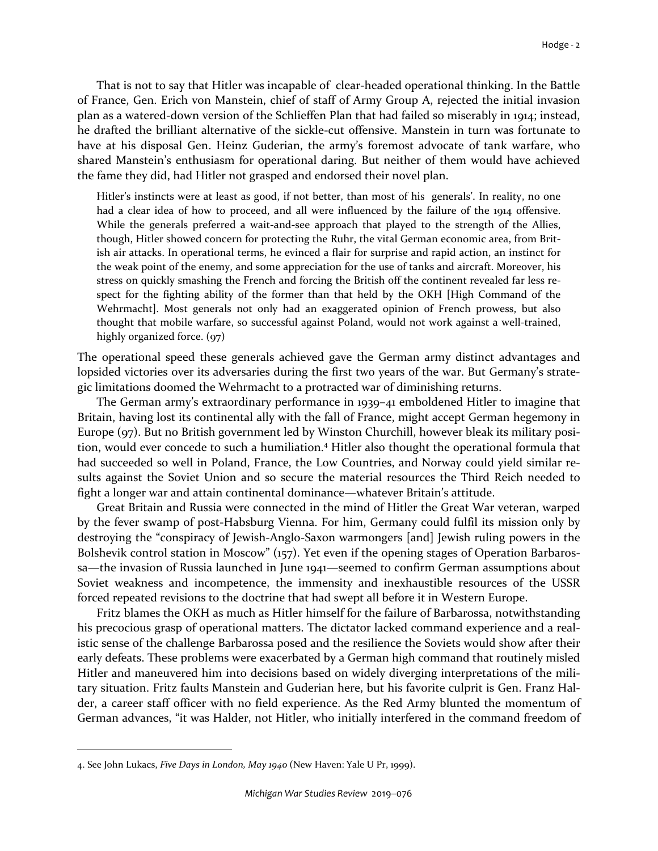That is not to say that Hitler was incapable of clear-headed operational thinking. In the Battle of France, Gen. Erich von Manstein, chief of staff of Army Group A, rejected the initial invasion plan as a watered-down version of the Schlieffen Plan that had failed so miserably in 1914; instead, he drafted the brilliant alternative of the sickle-cut offensive. Manstein in turn was fortunate to have at his disposal Gen. Heinz Guderian, the army's foremost advocate of tank warfare, who shared Manstein's enthusiasm for operational daring. But neither of them would have achieved the fame they did, had Hitler not grasped and endorsed their novel plan.

Hitler's instincts were at least as good, if not better, than most of his generals'. In reality, no one had a clear idea of how to proceed, and all were influenced by the failure of the 1914 offensive. While the generals preferred a wait-and-see approach that played to the strength of the Allies, though, Hitler showed concern for protecting the Ruhr, the vital German economic area, from British air attacks. In operational terms, he evinced a flair for surprise and rapid action, an instinct for the weak point of the enemy, and some appreciation for the use of tanks and aircraft. Moreover, his stress on quickly smashing the French and forcing the British off the continent revealed far less respect for the fighting ability of the former than that held by the OKH [High Command of the Wehrmacht]. Most generals not only had an exaggerated opinion of French prowess, but also thought that mobile warfare, so successful against Poland, would not work against a well-trained, highly organized force. (97)

The operational speed these generals achieved gave the German army distinct advantages and lopsided victories over its adversaries during the first two years of the war. But Germany's strategic limitations doomed the Wehrmacht to a protracted war of diminishing returns.

The German army's extraordinary performance in 1939–41 emboldened Hitler to imagine that Britain, having lost its continental ally with the fall of France, might accept German hegemony in Europe (97). But no British government led by Winston Churchill, however bleak its military position, would ever concede to such a humiliation.<sup>4</sup> Hitler also thought the operational formula that had succeeded so well in Poland, France, the Low Countries, and Norway could yield similar results against the Soviet Union and so secure the material resources the Third Reich needed to fight a longer war and attain continental dominance—whatever Britain's attitude.

Great Britain and Russia were connected in the mind of Hitler the Great War veteran, warped by the fever swamp of post-Habsburg Vienna. For him, Germany could fulfil its mission only by destroying the "conspiracy of Jewish-Anglo-Saxon warmongers [and] Jewish ruling powers in the Bolshevik control station in Moscow" (157). Yet even if the opening stages of Operation Barbarossa—the invasion of Russia launched in June 1941—seemed to confirm German assumptions about Soviet weakness and incompetence, the immensity and inexhaustible resources of the USSR forced repeated revisions to the doctrine that had swept all before it in Western Europe.

Fritz blames the OKH as much as Hitler himself for the failure of Barbarossa, notwithstanding his precocious grasp of operational matters. The dictator lacked command experience and a realistic sense of the challenge Barbarossa posed and the resilience the Soviets would show after their early defeats. These problems were exacerbated by a German high command that routinely misled Hitler and maneuvered him into decisions based on widely diverging interpretations of the military situation. Fritz faults Manstein and Guderian here, but his favorite culprit is Gen. Franz Halder, a career staff officer with no field experience. As the Red Army blunted the momentum of German advances, "it was Halder, not Hitler, who initially interfered in the command freedom of

<sup>4.</sup> See John Lukacs, *Five Days in London, May 1940* (New Haven: Yale U Pr, 1999).